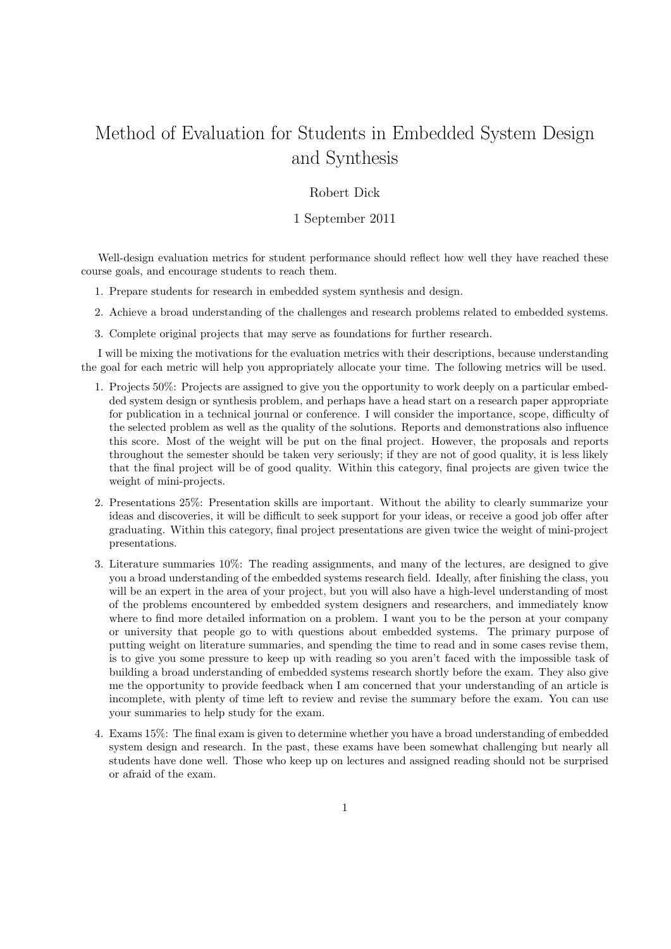## Method of Evaluation for Students in Embedded System Design and Synthesis

## Robert Dick

## 1 September 2011

Well-design evaluation metrics for student performance should reflect how well they have reached these course goals, and encourage students to reach them.

- 1. Prepare students for research in embedded system synthesis and design.
- 2. Achieve a broad understanding of the challenges and research problems related to embedded systems.
- 3. Complete original projects that may serve as foundations for further research.

I will be mixing the motivations for the evaluation metrics with their descriptions, because understanding the goal for each metric will help you appropriately allocate your time. The following metrics will be used.

- 1. Projects 50%: Projects are assigned to give you the opportunity to work deeply on a particular embedded system design or synthesis problem, and perhaps have a head start on a research paper appropriate for publication in a technical journal or conference. I will consider the importance, scope, difficulty of the selected problem as well as the quality of the solutions. Reports and demonstrations also influence this score. Most of the weight will be put on the final project. However, the proposals and reports throughout the semester should be taken very seriously; if they are not of good quality, it is less likely that the final project will be of good quality. Within this category, final projects are given twice the weight of mini-projects.
- 2. Presentations 25%: Presentation skills are important. Without the ability to clearly summarize your ideas and discoveries, it will be difficult to seek support for your ideas, or receive a good job offer after graduating. Within this category, final project presentations are given twice the weight of mini-project presentations.
- 3. Literature summaries 10%: The reading assignments, and many of the lectures, are designed to give you a broad understanding of the embedded systems research field. Ideally, after finishing the class, you will be an expert in the area of your project, but you will also have a high-level understanding of most of the problems encountered by embedded system designers and researchers, and immediately know where to find more detailed information on a problem. I want you to be the person at your company or university that people go to with questions about embedded systems. The primary purpose of putting weight on literature summaries, and spending the time to read and in some cases revise them, is to give you some pressure to keep up with reading so you aren't faced with the impossible task of building a broad understanding of embedded systems research shortly before the exam. They also give me the opportunity to provide feedback when I am concerned that your understanding of an article is incomplete, with plenty of time left to review and revise the summary before the exam. You can use your summaries to help study for the exam.
- 4. Exams 15%: The final exam is given to determine whether you have a broad understanding of embedded system design and research. In the past, these exams have been somewhat challenging but nearly all students have done well. Those who keep up on lectures and assigned reading should not be surprised or afraid of the exam.